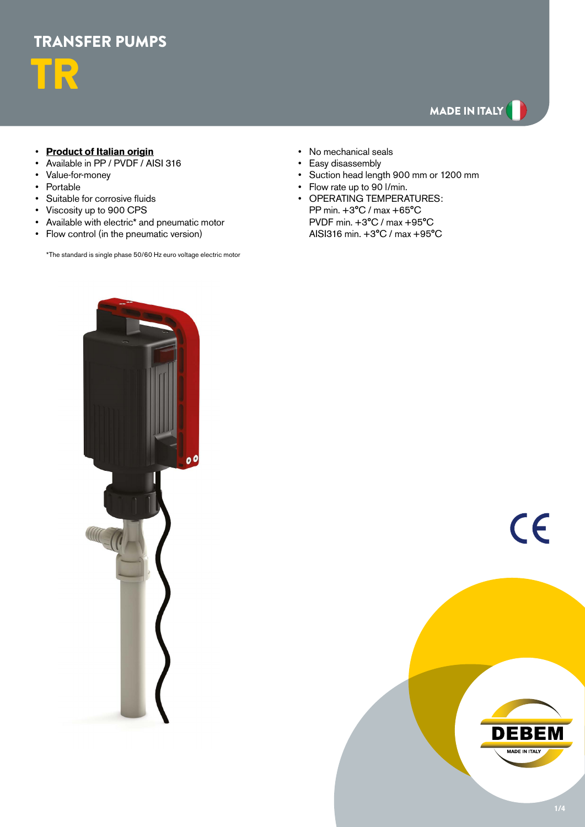

# MADE IN ITALY

## • **Product of Italian origin**

- Available in PP / PVDF / AISI 316
- Value-for-money
- Portable
- Suitable for corrosive fluids
- Viscosity up to 900 CPS
- Available with electric\* and pneumatic motor
- Flow control (in the pneumatic version)

\*The standard is single phase 50/60 Hz euro voltage electric motor

- No mechanical seals
- Easy disassembly
- Suction head length 900 mm or 1200 mm
- Flow rate up to 90 l/min.
- OPERATING TEMPERATURES: PP min. +3°C / max +65°C PVDF min. +3°C / max +95°C AISI316 min. +3°C / max +95°C



 $\epsilon$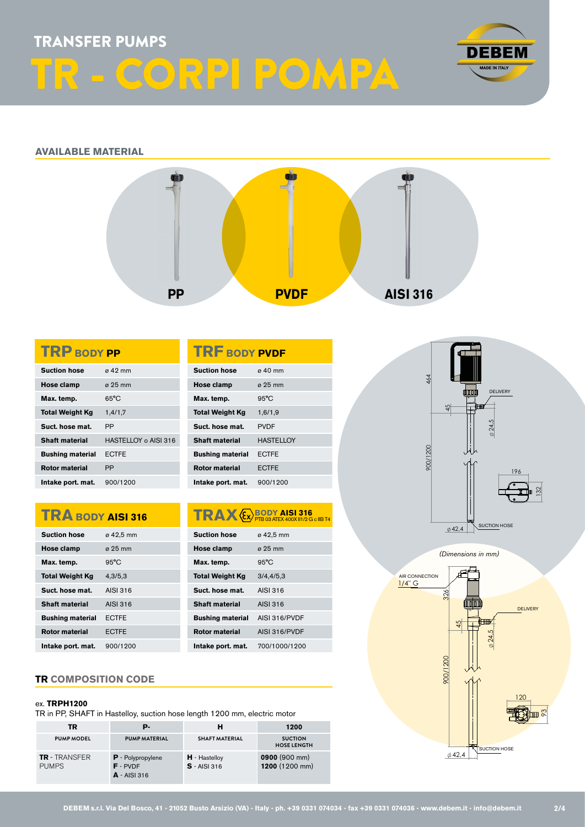## TRANSFER PUMPS

# TR - CORPI POMPA



## **AVAILABLE MATERIAL**



| <b>TRP BODY PP</b>      |                      |  |  |  |  |  |
|-------------------------|----------------------|--|--|--|--|--|
| <b>Suction hose</b>     | $\alpha$ 42 mm       |  |  |  |  |  |
| Hose clamp              | a 25 mm              |  |  |  |  |  |
| Max. temp.              | $65^{\circ}$ C       |  |  |  |  |  |
| <b>Total Weight Kg</b>  | 1,4/1,7              |  |  |  |  |  |
| Suct. hose mat.         | <b>PP</b>            |  |  |  |  |  |
| Shaft material          | HASTELLOY o AISI 316 |  |  |  |  |  |
| <b>Bushing material</b> | <b>ECTFE</b>         |  |  |  |  |  |
| <b>Rotor material</b>   | PP                   |  |  |  |  |  |
| Intake port. mat.       | 900/1200             |  |  |  |  |  |

## **TRA BODY AISI 316**

| <b>Suction hose</b>     | ø 42,5 mm      |
|-------------------------|----------------|
| Hose clamp              | a 25 mm        |
| Max. temp.              | $95^{\circ}$ C |
| <b>Total Weight Kg</b>  | 4,3/5,3        |
| Suct. hose mat.         | AISL316        |
| <b>Shaft material</b>   | AISI 316       |
| <b>Bushing material</b> | <b>FCTFF</b>   |
| <b>Rotor material</b>   | <b>ECTFE</b>   |
| Intake port. mat.       | 900/1200       |

## **TR COMPOSITION CODE**

#### ex. **TRPH1200**

TR in PP, SHAFT in Hastelloy, suction hose length 1200 mm, electric motor

| <b>TR</b>                            | р.                                                       | н                                 | 1200                                 |
|--------------------------------------|----------------------------------------------------------|-----------------------------------|--------------------------------------|
| <b>PUMP MODEL</b>                    | <b>PUMP MATERIAL</b>                                     | <b>SHAFT MATERIAL</b>             | <b>SUCTION</b><br><b>HOSE LENGTH</b> |
| <b>TR</b> - TRANSFER<br><b>PUMPS</b> | <b>P</b> - Polypropylene<br>$F - PVDF$<br>$A - AISI 316$ | $H -$ Hastelloy<br>$S - AISI 316$ | 0900 (900 mm)<br>1200 (1200 mm)      |





**DEBEM s.r.l. Via Del Bosco, 41 - 21052 Busto Arsizio (VA) - Italy - ph. +39 0331 074034 - fax +39 0331 074036 - www.debem.it - info@debem.it**

**TRAX**  $\xi$ *S* **PTB 03 ATEX 400X II1/2 G c IIB T4** 

**Suction hose**  $\qquad \varnothing$  42,5 mm **Hose clamp**  $\qquad \emptyset$  25 mm Max. temp. 95°C **Total Weight Kg** 3/4,4/5,3 **Suct. hose mat.** AISI 316 **Shaft material** AISI 316 **Bushing material** AISI 316/PVDF **Rotor material** AISI 316/PVDF **Intake port. mat.** 700/1000/1200

**TRF BODY PVDF Suction hose** ø 40 mm **Hose clamp** ø 25 mm Max. temp. 95°C **Total Weight Kg** 1,6/1,9 **Suct. hose mat.** PVDF **Shaft material** HASTELLOY **Bushing material** ECTFE **Rotor material** ECTFE **Intake port. mat.** 900/1200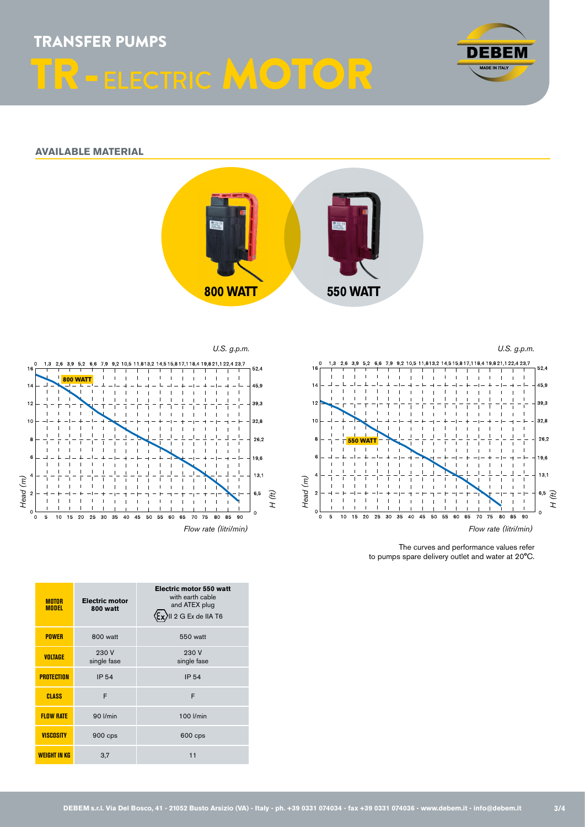TRANSFER PUMPS R-ELECTRIC MOTOR



## **AVAILABLE MATERIAL**



*U.S. g.p.m.*





The curves and performance values refer to pumps spare delivery outlet and water at 20°C.

| <b>MOTOR</b><br><b>MODEL</b> | <b>Electric motor</b><br>800 watt | <b>Electric motor 550 watt</b><br>with earth cable<br>and ATEX plug<br>II 2 G Ex de IIA T6 |  |  |  |  |  |
|------------------------------|-----------------------------------|--------------------------------------------------------------------------------------------|--|--|--|--|--|
| <b>POWER</b>                 | 800 watt                          | 550 watt                                                                                   |  |  |  |  |  |
| <b>VOLTAGE</b>               | 230 V<br>single fase              | 230V<br>single fase                                                                        |  |  |  |  |  |
| <b>PROTECTION</b>            | <b>IP 54</b>                      | <b>IP 54</b>                                                                               |  |  |  |  |  |
| <b>CLASS</b>                 | F                                 | F                                                                                          |  |  |  |  |  |
| <b>FLOW RATE</b>             | 90 l/min                          | 100 l/min                                                                                  |  |  |  |  |  |
| <b>VISCOSITY</b>             | 900 cps                           | 600 cps                                                                                    |  |  |  |  |  |
| <b>WEIGHT IN KG</b>          | 3,7                               | 11                                                                                         |  |  |  |  |  |